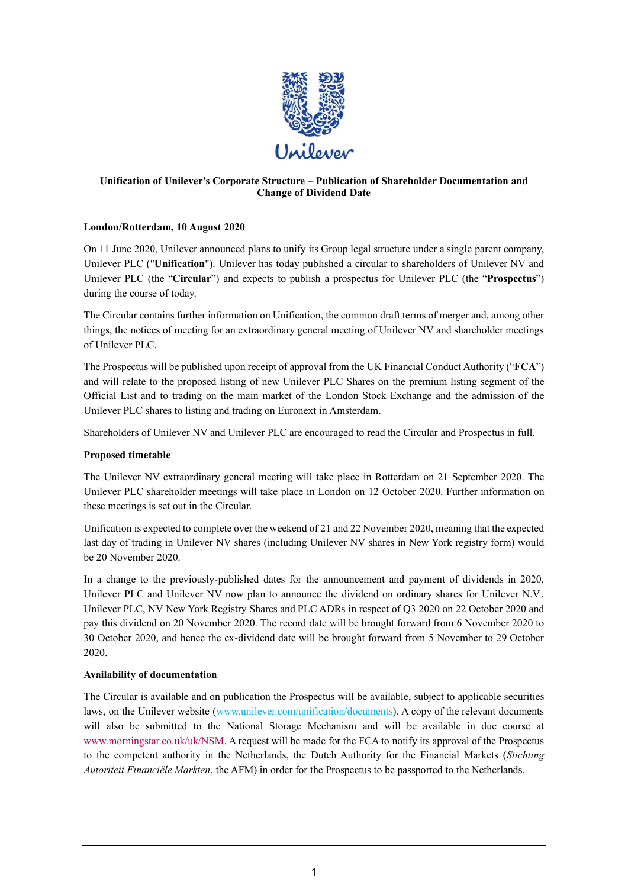

### **Unification of Unilever's Corporate Structure – Publication of Shareholder Documentation and Change of Dividend Date**

# **London/Rotterdam, 10 August 2020**

On 11 June 2020, Unilever announced plans to unify its Group legal structure under a single parent company, Unilever PLC ("**Unification**"). Unilever has today published a circular to shareholders of Unilever NV and Unilever PLC (the "**Circular**") and expects to publish a prospectus for Unilever PLC (the "**Prospectus**") during the course of today.

The Circular contains further information on Unification, the common draft terms of merger and, among other things, the notices of meeting for an extraordinary general meeting of Unilever NV and shareholder meetings of Unilever PLC.

The Prospectus will be published upon receipt of approval from the UK Financial Conduct Authority ("**FCA**") and will relate to the proposed listing of new Unilever PLC Shares on the premium listing segment of the Official List and to trading on the main market of the London Stock Exchange and the admission of the Unilever PLC shares to listing and trading on Euronext in Amsterdam.

Shareholders of Unilever NV and Unilever PLC are encouraged to read the Circular and Prospectus in full.

# **Proposed timetable**

The Unilever NV extraordinary general meeting will take place in Rotterdam on 21 September 2020. The Unilever PLC shareholder meetings will take place in London on 12 October 2020. Further information on these meetings is set out in the Circular.

Unification is expected to complete over the weekend of 21 and 22 November 2020, meaning that the expected last day of trading in Unilever NV shares (including Unilever NV shares in New York registry form) would be 20 November 2020.

In a change to the previously-published dates for the announcement and payment of dividends in 2020, Unilever PLC and Unilever NV now plan to announce the dividend on ordinary shares for Unilever N.V., Unilever PLC, NV New York Registry Shares and PLC ADRs in respect of Q3 2020 on 22 October 2020 and pay this dividend on 20 November 2020. The record date will be brought forward from 6 November 2020 to 30 October 2020, and hence the ex-dividend date will be brought forward from 5 November to 29 October 2020.

# **Availability of documentation**

The Circular is available and on publication the Prospectus will be available, subject to applicable securities laws, on the Unilever website (www.unilever.com/unification/documents). A copy of the relevant documents will also be submitted to the National Storage Mechanism and will be available in due course at [www.morningstar.co.uk/uk/NSM.](http://www.morningstar.co.uk/uk/NSM) A request will be made for the FCA to notify its approval of the Prospectus to the competent authority in the Netherlands, the Dutch Authority for the Financial Markets (*Stichting Autoriteit Financiële Markten*, the AFM) in order for the Prospectus to be passported to the Netherlands.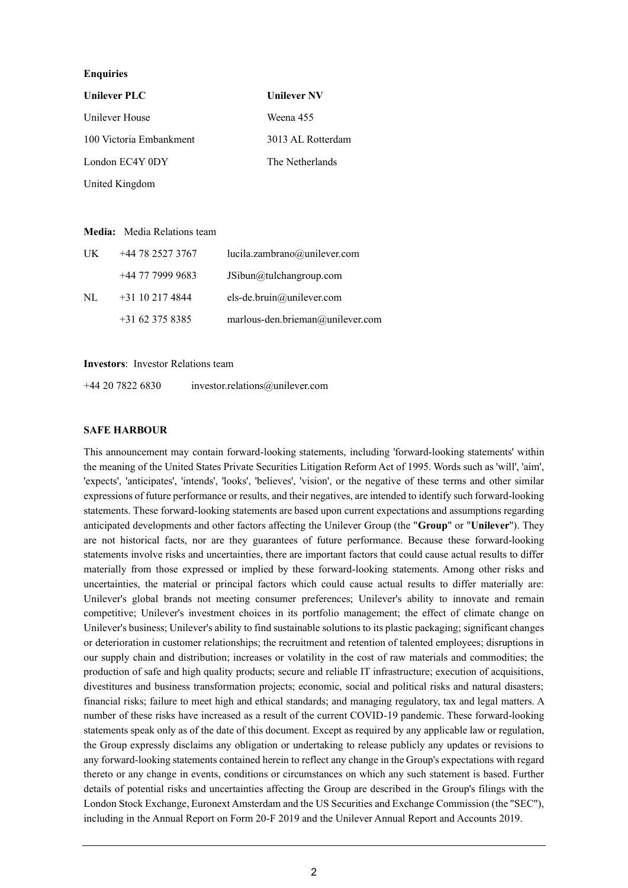### **Enquiries**

| Unilever PLC            | <b>Unilever NV</b> |
|-------------------------|--------------------|
| Unilever House          | Weena 455          |
| 100 Victoria Embankment | 3013 AL Rotterdam  |
| London EC4Y 0DY         | The Netherlands    |
| United Kingdom          |                    |

#### **Media:** Media Relations team

| UK | +44 78 2527 3767  | lucila.zambrano@unilever.com     |
|----|-------------------|----------------------------------|
|    | +44 77 7999 9683  | JSibun@tulchangroup.com          |
| NL | $+31$ 10 217 4844 | els-de.bruin@unilever.com        |
|    | $+31623758385$    | marlous-den.brieman@unilever.com |

#### **Investors**: Investor Relations team

+44 20 7822 6830 [investor.relations@unilever.com](mailto:investor.relations@unilever.com)

#### **SAFE HARBOUR**

This announcement may contain forward-looking statements, including 'forward-looking statements' within the meaning of the United States Private Securities Litigation Reform Act of 1995. Words such as 'will', 'aim', 'expects', 'anticipates', 'intends', 'looks', 'believes', 'vision', or the negative of these terms and other similar expressions of future performance or results, and their negatives, are intended to identify such forward-looking statements. These forward-looking statements are based upon current expectations and assumptions regarding anticipated developments and other factors affecting the Unilever Group (the "**Group**" or "**Unilever**"). They are not historical facts, nor are they guarantees of future performance. Because these forward-looking statements involve risks and uncertainties, there are important factors that could cause actual results to differ materially from those expressed or implied by these forward-looking statements. Among other risks and uncertainties, the material or principal factors which could cause actual results to differ materially are: Unilever's global brands not meeting consumer preferences; Unilever's ability to innovate and remain competitive; Unilever's investment choices in its portfolio management; the effect of climate change on Unilever's business; Unilever's ability to find sustainable solutions to its plastic packaging; significant changes or deterioration in customer relationships; the recruitment and retention of talented employees; disruptions in our supply chain and distribution; increases or volatility in the cost of raw materials and commodities; the production of safe and high quality products; secure and reliable IT infrastructure; execution of acquisitions, divestitures and business transformation projects; economic, social and political risks and natural disasters; financial risks; failure to meet high and ethical standards; and managing regulatory, tax and legal matters. A number of these risks have increased as a result of the current COVID-19 pandemic. These forward-looking statements speak only as of the date of this document. Except as required by any applicable law or regulation, the Group expressly disclaims any obligation or undertaking to release publicly any updates or revisions to any forward-looking statements contained herein to reflect any change in the Group's expectations with regard thereto or any change in events, conditions or circumstances on which any such statement is based. Further details of potential risks and uncertainties affecting the Group are described in the Group's filings with the London Stock Exchange, Euronext Amsterdam and the US Securities and Exchange Commission (the "SEC"), including in the Annual Report on Form 20-F 2019 and the Unilever Annual Report and Accounts 2019.